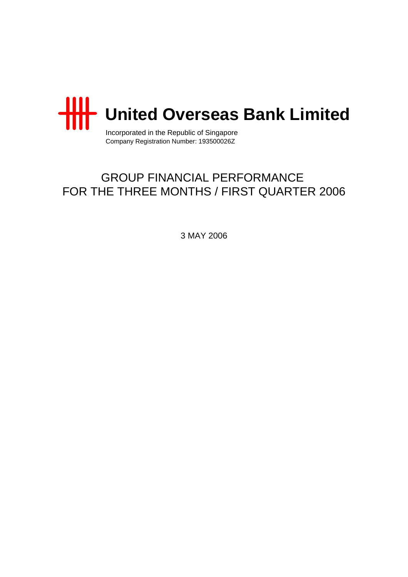

Incorporated in the Republic of Singapore Company Registration Number: 193500026Z

# GROUP FINANCIAL PERFORMANCE FOR THE THREE MONTHS / FIRST QUARTER 2006

3 MAY 2006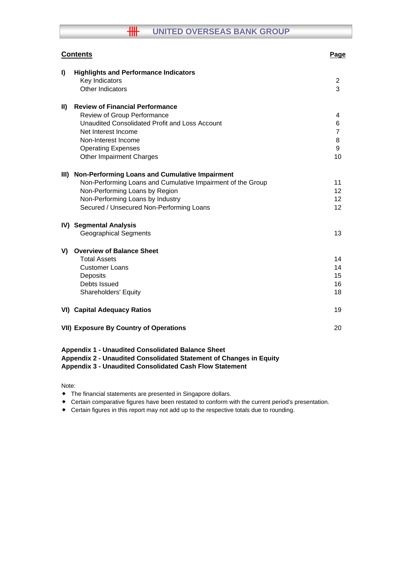# **THE UNITED OVERSEAS BANK GROUP**

|             | <b>Contents</b>                                                                                                                                                                                                                 | Page                                     |
|-------------|---------------------------------------------------------------------------------------------------------------------------------------------------------------------------------------------------------------------------------|------------------------------------------|
| I)          | <b>Highlights and Performance Indicators</b><br>Key Indicators<br>Other Indicators                                                                                                                                              | 2<br>3                                   |
| $\parallel$ | <b>Review of Financial Performance</b><br>Review of Group Performance<br>Unaudited Consolidated Profit and Loss Account<br>Net Interest Income<br>Non-Interest Income<br><b>Operating Expenses</b><br>Other Impairment Charges  | 4<br>6<br>$\overline{7}$<br>8<br>9<br>10 |
| III)        | Non-Performing Loans and Cumulative Impairment<br>Non-Performing Loans and Cumulative Impairment of the Group<br>Non-Performing Loans by Region<br>Non-Performing Loans by Industry<br>Secured / Unsecured Non-Performing Loans | 11<br>12<br>12<br>12 <sup>2</sup>        |
|             | IV) Segmental Analysis<br><b>Geographical Segments</b>                                                                                                                                                                          | 13                                       |
| V)          | <b>Overview of Balance Sheet</b><br><b>Total Assets</b><br><b>Customer Loans</b><br>Deposits<br>Debts Issued<br>Shareholders' Equity                                                                                            | 14<br>14<br>15<br>16<br>18               |
|             | <b>VI) Capital Adequacy Ratios</b>                                                                                                                                                                                              | 19                                       |
|             | <b>VII) Exposure By Country of Operations</b>                                                                                                                                                                                   | 20                                       |

#### **Appendix 1 - Unaudited Consolidated Balance Sheet Appendix 2 - Unaudited Consolidated Statement of Changes in Equity Appendix 3 - Unaudited Consolidated Cash Flow Statement**

Note:

- The financial statements are presented in Singapore dollars.
- Certain comparative figures have been restated to conform with the current period's presentation.
- Certain figures in this report may not add up to the respective totals due to rounding.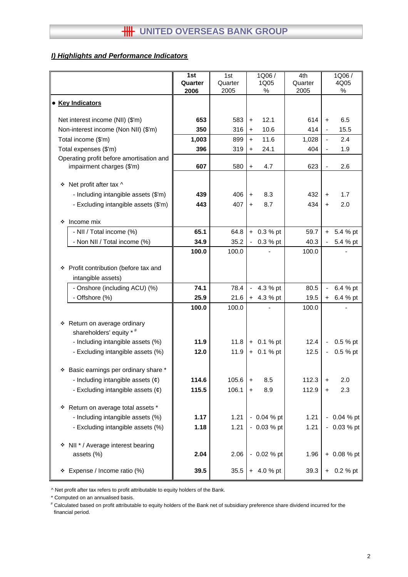### *I) Highlights and Performance Indicators*

|                                                     | 1st<br>Quarter | 1st<br>Quarter | 1Q06/<br>1Q05      | 4th<br>Quarter | 1Q06/<br>4Q05            |                |
|-----------------------------------------------------|----------------|----------------|--------------------|----------------|--------------------------|----------------|
|                                                     | 2006           | 2005           | %                  | 2005           |                          | %              |
| <b>Key Indicators</b><br>$\bullet$                  |                |                |                    |                |                          |                |
| Net interest income (NII) (\$'m)                    | 653            | 583            | 12.1<br>$\ddot{}$  | 614            | $\ddot{}$                | 6.5            |
| Non-interest income (Non NII) (\$'m)                | 350            | 316            | 10.6<br>$\ddot{}$  | 414            | $\blacksquare$           | 15.5           |
| Total income (\$'m)                                 | 1,003          | 899            | 11.6<br>$+$        | 1,028          | $\blacksquare$           | 2.4            |
| Total expenses (\$'m)                               | 396            | 319            | 24.1<br>$\ddot{}$  | 404            |                          | 1.9            |
| Operating profit before amortisation and            |                |                |                    |                |                          |                |
| impairment charges (\$'m)                           | 607            | 580            | 4.7<br>$\ddot{}$   | 623            | $\overline{\phantom{a}}$ | 2.6            |
| Net profit after tax ^<br>❖                         |                |                |                    |                |                          |                |
| - Including intangible assets (\$'m)                | 439            | 406            | 8.3<br>$\ddot{}$   | 432            | $\ddot{}$                | 1.7            |
| - Excluding intangible assets (\$'m)                | 443            | 407            | 8.7<br>$\ddot{}$   | 434            | $\ddot{}$                | 2.0            |
|                                                     |                |                |                    |                |                          |                |
| Income mix<br>❖                                     |                |                |                    |                |                          |                |
| - NII / Total income (%)                            | 65.1           | 64.8           | $+ 0.3 %$ pt       | 59.7           | $+$                      | 5.4 % pt       |
| - Non NII / Total income (%)                        | 34.9           | 35.2           | 0.3 % pt<br>$\sim$ | 40.3           |                          | 5.4 % pt       |
|                                                     | 100.0          | 100.0          |                    | 100.0          |                          |                |
|                                                     |                |                |                    |                |                          |                |
| Profit contribution (before tax and<br>❖            |                |                |                    |                |                          |                |
| intangible assets)<br>- Onshore (including ACU) (%) | 74.1           | 78.4           | 4.3 % pt<br>$\sim$ | 80.5           | $\blacksquare$           | 6.4 % pt       |
| - Offshore (%)                                      | 25.9           | 21.6           | $+ 4.3 %$ pt       | 19.5           | $\ddot{}$                | 6.4 % pt       |
|                                                     | 100.0          | 100.0          |                    | 100.0          |                          |                |
|                                                     |                |                |                    |                |                          |                |
| Return on average ordinary<br>۰                     |                |                |                    |                |                          |                |
| shareholders' equity * #                            |                |                |                    |                |                          |                |
| - Including intangible assets (%)                   | 11.9           | 11.8           | $+ 0.1 %$ pt       | 12.4           | $\overline{\phantom{a}}$ | 0.5 % pt       |
| - Excluding intangible assets (%)                   | 12.0           | 11.9           | $+ 0.1 %$ pt       | 12.5           | $\blacksquare$           | 0.5 % pt       |
| Basic earnings per ordinary share *<br>❖            |                |                |                    |                |                          |                |
| - Including intangible assets $(\phi)$              | 114.6          | 105.6          | 8.5<br>$\ddot{}$   | 112.3          | $\ddot{}$                | 2.0            |
| - Excluding intangible assets $(\phi)$              | 115.5          | 106.1          | 8.9<br>$\pm$       | 112.9          | $\ddot{}$                | 2.3            |
|                                                     |                |                |                    |                |                          |                |
| Return on average total assets *<br>❖               |                |                |                    |                |                          |                |
| - Including intangible assets (%)                   | 1.17           | 1.21           | $-0.04%$ pt        | 1.21           |                          | $-0.04 \%$ pt  |
| - Excluding intangible assets (%)                   | 1.18           | 1.21           | $-0.03%$ pt        | 1.21           |                          | $-0.03 \%$ pt  |
|                                                     |                |                |                    |                |                          |                |
| ❖ NII * / Average interest bearing                  | 2.04           |                |                    |                |                          | $+ 0.08 \%$ pt |
| assets (%)                                          |                | 2.06           | $-0.02 \%$ pt      | 1.96           |                          |                |
| Expense / Income ratio (%)<br>۰                     | 39.5           | 35.5           | $+ 4.0 %$ pt       | 39.3           |                          | $+ 0.2 %$ pt   |

^ Net profit after tax refers to profit attributable to equity holders of the Bank.

\* Computed on an annualised basis.

# Calculated based on profit attributable to equity holders of the Bank net of subsidiary preference share dividend incurred for the financial period.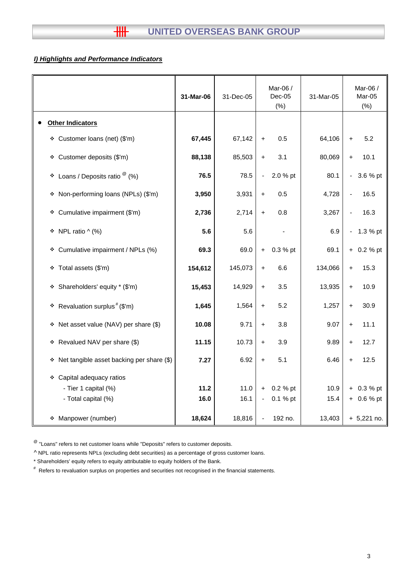# *I) Highlights and Performance Indicators*

|                                                | 31-Mar-06 | 31-Dec-05 | Mar-06 /<br>$Dec-05$<br>(% ) | 31-Mar-05 | Mar-06 /<br>Mar-05<br>(%)            |
|------------------------------------------------|-----------|-----------|------------------------------|-----------|--------------------------------------|
| <b>Other Indicators</b>                        |           |           |                              |           |                                      |
| * Customer loans (net) (\$'m)                  | 67,445    | 67,142    | 0.5<br>$\ddot{}$             | 64,106    | 5.2<br>$+$                           |
| * Customer deposits (\$'m)                     | 88,138    | 85,503    | 3.1<br>$\ddot{}$             | 80,069    | 10.1<br>$+$                          |
| Loans / Deposits ratio $^\circledR$ (%)<br>۰   | 76.5      | 78.5      | 2.0 % pt<br>$\blacksquare$   | 80.1      | 3.6 % pt<br>$\overline{\phantom{0}}$ |
| Non-performing loans (NPLs) (\$'m)<br>۰        | 3,950     | 3,931     | 0.5<br>$\ddot{}$             | 4,728     | 16.5                                 |
| Cumulative impairment (\$'m)<br>۰              | 2,736     | 2,714     | 0.8<br>$\ddot{}$             | 3,267     | 16.3                                 |
| * NPL ratio ^ (%)                              | 5.6       | 5.6       |                              | 6.9       | 1.3 % pt                             |
| * Cumulative impairment / NPLs (%)             | 69.3      | 69.0      | 0.3 % pt<br>$+$              | 69.1      | $+ 0.2 %$ pt                         |
| ❖ Total assets (\$'m)                          | 154,612   | 145,073   | 6.6<br>$\ddot{}$             | 134,066   | 15.3<br>$\ddot{}$                    |
| * Shareholders' equity * (\$'m)                | 15,453    | 14,929    | 3.5<br>$\ddot{}$             | 13,935    | 10.9<br>$+$                          |
| Revaluation surplus <sup>#</sup> (\$'m)<br>❖   | 1,645     | 1,564     | 5.2<br>$\ddot{}$             | 1,257     | 30.9<br>$\ddot{}$                    |
| * Net asset value (NAV) per share (\$)         | 10.08     | 9.71      | 3.8<br>$\ddot{}$             | 9.07      | 11.1<br>$+$                          |
| * Revalued NAV per share (\$)                  | 11.15     | 10.73     | 3.9<br>$\ddot{}$             | 9.89      | 12.7<br>$+$                          |
| Net tangible asset backing per share (\$)<br>۰ | 7.27      | 6.92      | 5.1<br>$\ddot{}$             | 6.46      | 12.5<br>$+$                          |
| * Capital adequacy ratios                      |           |           |                              |           |                                      |
| - Tier 1 capital (%)                           | 11.2      | 11.0      | 0.2 % pt<br>$\ddot{}$        | 10.9      | $+ 0.3 %$ pt                         |
| - Total capital (%)                            | 16.0      | 16.1      | 0.1 % pt<br>$\blacksquare$   | 15.4      | $+ 0.6 %$ pt                         |
| Manpower (number)<br>❖                         | 18,624    | 18,816    | 192 no.<br>$\blacksquare$    | 13,403    | $+ 5,221$ no.                        |

 $^{\circledR}$  "Loans" refers to net customer loans while "Deposits" refers to customer deposits.

^ NPL ratio represents NPLs (excluding debt securities) as a percentage of gross customer loans.

\* Shareholders' equity refers to equity attributable to equity holders of the Bank.

# Refers to revaluation surplus on properties and securities not recognised in the financial statements.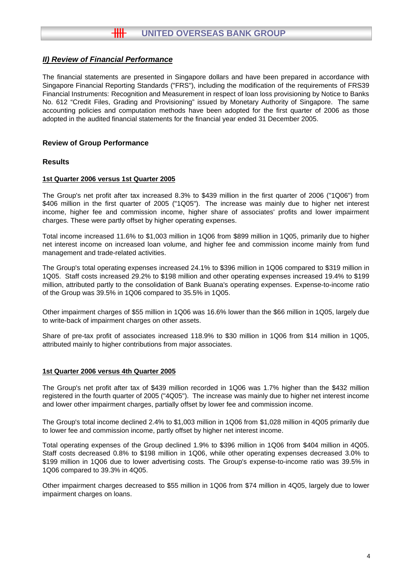The financial statements are presented in Singapore dollars and have been prepared in accordance with Singapore Financial Reporting Standards ("FRS"), including the modification of the requirements of FRS39 Financial Instruments: Recognition and Measurement in respect of loan loss provisioning by Notice to Banks No. 612 "Credit Files, Grading and Provisioning" issued by Monetary Authority of Singapore. The same accounting policies and computation methods have been adopted for the first quarter of 2006 as those adopted in the audited financial statements for the financial year ended 31 December 2005.

### **Review of Group Performance**

#### **Results**

#### **1st Quarter 2006 versus 1st Quarter 2005**

The Group's net profit after tax increased 8.3% to \$439 million in the first quarter of 2006 ("1Q06") from \$406 million in the first quarter of 2005 ("1Q05"). The increase was mainly due to higher net interest income, higher fee and commission income, higher share of associates' profits and lower impairment charges. These were partly offset by higher operating expenses.

Total income increased 11.6% to \$1,003 million in 1Q06 from \$899 million in 1Q05, primarily due to higher net interest income on increased loan volume, and higher fee and commission income mainly from fund management and trade-related activities.

The Group's total operating expenses increased 24.1% to \$396 million in 1Q06 compared to \$319 million in 1Q05. Staff costs increased 29.2% to \$198 million and other operating expenses increased 19.4% to \$199 million, attributed partly to the consolidation of Bank Buana's operating expenses. Expense-to-income ratio of the Group was 39.5% in 1Q06 compared to 35.5% in 1Q05.

Other impairment charges of \$55 million in 1Q06 was 16.6% lower than the \$66 million in 1Q05, largely due to write-back of impairment charges on other assets.

Share of pre-tax profit of associates increased 118.9% to \$30 million in 1Q06 from \$14 million in 1Q05, attributed mainly to higher contributions from major associates.

#### **1st Quarter 2006 versus 4th Quarter 2005**

The Group's net profit after tax of \$439 million recorded in 1Q06 was 1.7% higher than the \$432 million registered in the fourth quarter of 2005 ("4Q05"). The increase was mainly due to higher net interest income and lower other impairment charges, partially offset by lower fee and commission income.

The Group's total income declined 2.4% to \$1,003 million in 1Q06 from \$1,028 million in 4Q05 primarily due to lower fee and commission income, partly offset by higher net interest income.

Total operating expenses of the Group declined 1.9% to \$396 million in 1Q06 from \$404 million in 4Q05. Staff costs decreased 0.8% to \$198 million in 1Q06, while other operating expenses decreased 3.0% to \$199 million in 1Q06 due to lower advertising costs. The Group's expense-to-income ratio was 39.5% in 1Q06 compared to 39.3% in 4Q05.

Other impairment charges decreased to \$55 million in 1Q06 from \$74 million in 4Q05, largely due to lower impairment charges on loans.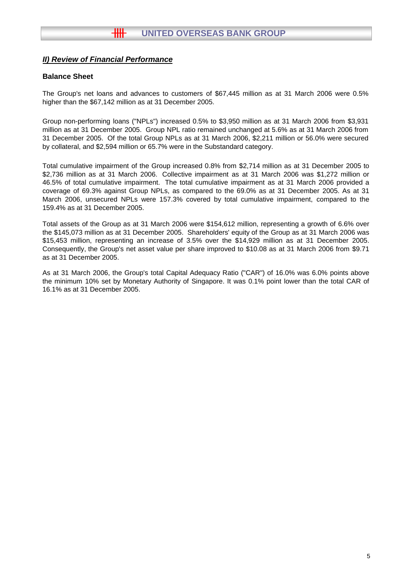### **Balance Sheet**

The Group's net loans and advances to customers of \$67,445 million as at 31 March 2006 were 0.5% higher than the \$67,142 million as at 31 December 2005.

Group non-performing loans ("NPLs") increased 0.5% to \$3,950 million as at 31 March 2006 from \$3,931 million as at 31 December 2005. Group NPL ratio remained unchanged at 5.6% as at 31 March 2006 from 31 December 2005. Of the total Group NPLs as at 31 March 2006, \$2,211 million or 56.0% were secured by collateral, and \$2,594 million or 65.7% were in the Substandard category.

Total cumulative impairment of the Group increased 0.8% from \$2,714 million as at 31 December 2005 to \$2,736 million as at 31 March 2006. Collective impairment as at 31 March 2006 was \$1,272 million or 46.5% of total cumulative impairment. The total cumulative impairment as at 31 March 2006 provided a coverage of 69.3% against Group NPLs, as compared to the 69.0% as at 31 December 2005. As at 31 March 2006, unsecured NPLs were 157.3% covered by total cumulative impairment, compared to the 159.4% as at 31 December 2005.

Total assets of the Group as at 31 March 2006 were \$154,612 million, representing a growth of 6.6% over the \$145,073 million as at 31 December 2005. Shareholders' equity of the Group as at 31 March 2006 was \$15,453 million, representing an increase of 3.5% over the \$14,929 million as at 31 December 2005. Consequently, the Group's net asset value per share improved to \$10.08 as at 31 March 2006 from \$9.71 as at 31 December 2005.

As at 31 March 2006, the Group's total Capital Adequacy Ratio ("CAR") of 16.0% was 6.0% points above the minimum 10% set by Monetary Authority of Singapore. It was 0.1% point lower than the total CAR of 16.1% as at 31 December 2005.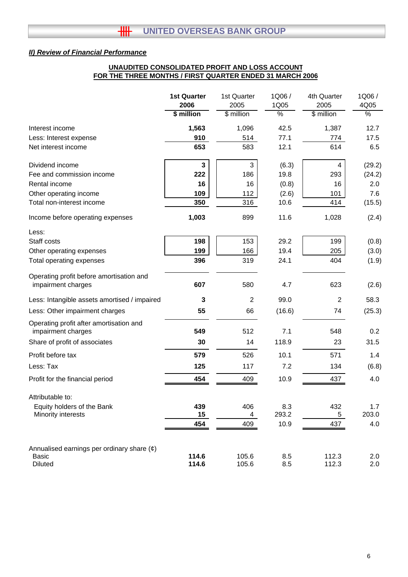# **UNAUDITED CONSOLIDATED PROFIT AND LOSS ACCOUNT FOR THE THREE MONTHS / FIRST QUARTER ENDED 31 MARCH 2006**

|                                                                                   | <b>1st Quarter</b><br>2006 | 1st Quarter<br>2005 | 1Q06/<br>1Q05 | 4th Quarter<br>2005 | 1Q06/<br>4Q05 |
|-----------------------------------------------------------------------------------|----------------------------|---------------------|---------------|---------------------|---------------|
|                                                                                   | \$ million                 | \$ million          | $\frac{1}{2}$ | \$ million          | $\frac{1}{6}$ |
| Interest income                                                                   | 1,563                      | 1,096               | 42.5          | 1,387               | 12.7          |
| Less: Interest expense                                                            | 910                        | 514                 | 77.1          | 774                 | 17.5          |
| Net interest income                                                               | 653                        | 583                 | 12.1          | 614                 | 6.5           |
| Dividend income                                                                   | 3                          | 3                   | (6.3)         | 4                   | (29.2)        |
| Fee and commission income                                                         | 222                        | 186                 | 19.8          | 293                 | (24.2)        |
| Rental income                                                                     | 16                         | 16                  | (0.8)         | 16                  | 2.0           |
| Other operating income                                                            | 109                        | 112                 | (2.6)         | 101                 | 7.6           |
| Total non-interest income                                                         | 350                        | 316                 | 10.6          | 414                 | (15.5)        |
| Income before operating expenses                                                  | 1,003                      | 899                 | 11.6          | 1,028               | (2.4)         |
| Less:                                                                             |                            |                     |               |                     |               |
| Staff costs                                                                       | 198                        | 153                 | 29.2          | 199                 | (0.8)         |
| Other operating expenses                                                          | 199                        | 166                 | 19.4          | 205                 | (3.0)         |
| Total operating expenses                                                          | 396                        | 319                 | 24.1          | 404                 | (1.9)         |
| Operating profit before amortisation and<br>impairment charges                    | 607                        | 580                 | 4.7           | 623                 | (2.6)         |
| Less: Intangible assets amortised / impaired                                      | 3                          | 2                   | 99.0          | $\overline{2}$      | 58.3          |
| Less: Other impairment charges                                                    | 55                         | 66                  | (16.6)        | 74                  | (25.3)        |
| Operating profit after amortisation and<br>impairment charges                     | 549                        | 512                 | 7.1           | 548                 | 0.2           |
| Share of profit of associates                                                     | 30                         | 14                  | 118.9         | 23                  | 31.5          |
| Profit before tax                                                                 | 579                        | 526                 | 10.1          | 571                 | 1.4           |
| Less: Tax                                                                         | 125                        | 117                 | 7.2           | 134                 | (6.8)         |
| Profit for the financial period                                                   | 454                        | 409                 | 10.9          | 437                 | 4.0           |
| Attributable to:                                                                  |                            |                     |               |                     |               |
| Equity holders of the Bank                                                        | 439                        | 406                 | 8.3           | 432                 | 1.7           |
| Minority interests                                                                | 15                         | $\overline{4}$      | 293.2         | $5\phantom{.0}$     | 203.0         |
|                                                                                   | 454                        | 409                 | 10.9          | 437                 | 4.0           |
| Annualised earnings per ordinary share $(\phi)$<br><b>Basic</b><br><b>Diluted</b> | 114.6<br>114.6             | 105.6<br>105.6      | 8.5<br>8.5    | 112.3<br>112.3      | 2.0<br>2.0    |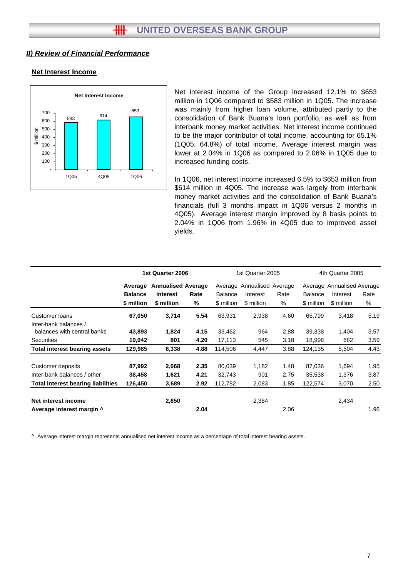#### **Net Interest Income**



Net interest income of the Group increased 12.1% to \$653 million in 1Q06 compared to \$583 million in 1Q05. The increase was mainly from higher loan volume, attributed partly to the consolidation of Bank Buana's loan portfolio, as well as from interbank money market activities. Net interest income continued to be the major contributor of total income, accounting for 65.1% (1Q05: 64.8%) of total income. Average interest margin was lower at 2.04% in 1Q06 as compared to 2.06% in 1Q05 due to increased funding costs.

In 1Q06, net interest income increased 6.5% to \$653 million from \$614 million in 4Q05. The increase was largely from interbank money market activities and the consolidation of Bank Buana's financials (full 3 months impact in 1Q06 versus 2 months in 4Q05). Average interest margin improved by 8 basis points to 2.04% in 1Q06 from 1.96% in 4Q05 due to improved asset yields.

|                                           |                | 1st Quarter 2006          |      |                            | 1st Quarter 2005 |      |                | 4th Quarter 2005           |      |  |
|-------------------------------------------|----------------|---------------------------|------|----------------------------|------------------|------|----------------|----------------------------|------|--|
|                                           | Average        | <b>Annualised Average</b> |      | Average Annualised Average |                  |      |                | Average Annualised Average |      |  |
|                                           | <b>Balance</b> | <b>Interest</b>           | Rate | <b>Balance</b>             | Interest         | Rate | <b>Balance</b> | Interest                   | Rate |  |
|                                           | \$ million     | \$ million                | %    | \$ million                 | \$ million       | %    | \$ million     | \$ million                 | %    |  |
| Customer loans                            | 67,050         | 3,714                     | 5.54 | 63,931                     | 2,938            | 4.60 | 65,799         | 3,418                      | 5.19 |  |
| Inter-bank balances /                     |                |                           |      |                            |                  |      |                |                            |      |  |
| balances with central banks               | 43,893         | 1,824                     | 4.15 | 33,462                     | 964              | 2.88 | 39,338         | 1,404                      | 3.57 |  |
| <b>Securities</b>                         | 19,042         | 801                       | 4.20 | 17,113                     | 545              | 3.18 | 18,998         | 682                        | 3.59 |  |
| <b>Total interest bearing assets</b>      | 129,985        | 6,338                     | 4.88 | 114,506                    | 4,447            | 3.88 | 124,135        | 5,504                      | 4.43 |  |
| Customer deposits                         | 87,992         | 2,068                     | 2.35 | 80,039                     | 1,182            | 1.48 | 87,036         | 1,694                      | 1.95 |  |
| Inter-bank balances / other               | 38,458         | 1,621                     | 4.21 | 32,743                     | 901              | 2.75 | 35,538         | 1,376                      | 3.87 |  |
| <b>Total interest bearing liabilities</b> | 126,450        | 3,689                     | 2.92 | 112,782                    | 2,083            | 1.85 | 122,574        | 3,070                      | 2.50 |  |
| Net interest income                       |                | 2,650                     |      |                            | 2,364            |      |                | 2,434                      |      |  |
| Average interest margin ^                 |                |                           | 2.04 |                            |                  | 2.06 |                |                            | 1.96 |  |

^ Average interest margin represents annualised net interest income as a percentage of total interest bearing assets.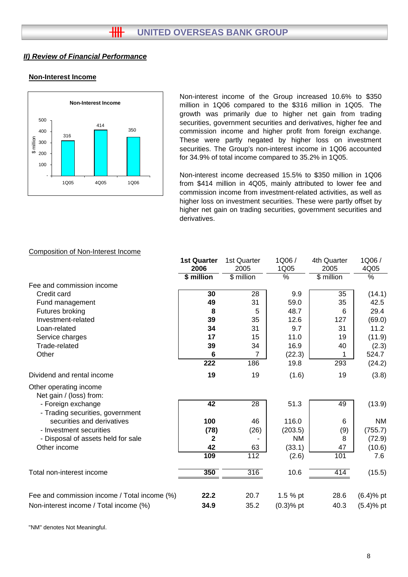# **Non-Interest Income**



Non-interest income of the Group increased 10.6% to \$350 million in 1Q06 compared to the \$316 million in 1Q05. The growth was primarily due to higher net gain from trading securities, government securities and derivatives, higher fee and commission income and higher profit from foreign exchange. These were partly negated by higher loss on investment securities. The Group's non-interest income in 1Q06 accounted for 34.9% of total income compared to 35.2% in 1Q05.

Non-interest income decreased 15.5% to \$350 million in 1Q06 from \$414 million in 4Q05, mainly attributed to lower fee and commission income from investment-related activities, as well as higher loss on investment securities. These were partly offset by higher net gain on trading securities, government securities and derivatives.

### Composition of Non-Interest Income

|                                                        | <b>1st Quarter</b> | 1st Quarter      | 1Q06/           | 4th Quarter | 1Q06/                    |
|--------------------------------------------------------|--------------------|------------------|-----------------|-------------|--------------------------|
|                                                        | 2006               | 2005             | 1Q05            | 2005        | 4Q05                     |
|                                                        | \$ million         | \$ million       | $\overline{\%}$ | \$ million  | $\overline{\frac{9}{6}}$ |
| Fee and commission income                              |                    |                  |                 |             |                          |
| Credit card                                            | 30                 | 28               | 9.9             | 35          | (14.1)                   |
| Fund management                                        | 49                 | 31               | 59.0            | 35          | 42.5                     |
| Futures broking                                        | 8                  | 5                | 48.7            | 6           | 29.4                     |
| Investment-related                                     | 39                 | 35               | 12.6            | 127         | (69.0)                   |
| Loan-related                                           | 34                 | 31               | 9.7             | 31          | 11.2                     |
| Service charges                                        | 17                 | 15               | 11.0            | 19          | (11.9)                   |
| Trade-related                                          | 39                 | 34               | 16.9            | 40          | (2.3)                    |
| Other                                                  | 6                  | $\overline{7}$   | (22.3)          | 1           | 524.7                    |
|                                                        | 222                | 186              | 19.8            | 293         | (24.2)                   |
| Dividend and rental income                             | 19                 | 19               | (1.6)           | 19          | (3.8)                    |
| Other operating income<br>Net gain / (loss) from:      |                    |                  |                 |             |                          |
| - Foreign exchange<br>- Trading securities, government | 42                 | 28               | 51.3            | 49          | (13.9)                   |
| securities and derivatives                             | 100                | 46               | 116.0           | 6           | <b>NM</b>                |
| - Investment securities                                | (78)               | (26)             | (203.5)         | (9)         | (755.7)                  |
| - Disposal of assets held for sale                     | 2                  |                  | ΝM              | 8           | (72.9)                   |
| Other income                                           | 42                 | 63               | (33.1)          | 47          | (10.6)                   |
|                                                        | 109                | $\overline{112}$ | (2.6)           | 101         | 7.6                      |
| Total non-interest income                              | 350                | 316              | 10.6            | 414         | (15.5)                   |
|                                                        |                    |                  |                 |             |                          |
| Fee and commission income / Total income (%)           | 22.2               | 20.7             | 1.5 % pt        | 28.6        | $(6.4)$ % pt             |
| Non-interest income / Total income (%)                 | 34.9               | 35.2             | $(0.3)$ % pt    | 40.3        | $(5.4)$ % pt             |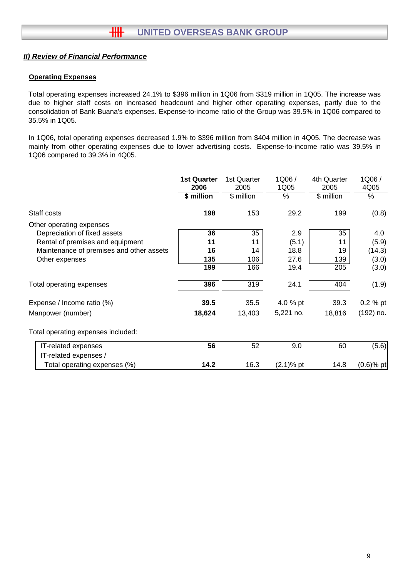# **Operating Expenses**

Total operating expenses increased 24.1% to \$396 million in 1Q06 from \$319 million in 1Q05. The increase was due to higher staff costs on increased headcount and higher other operating expenses, partly due to the consolidation of Bank Buana's expenses. Expense-to-income ratio of the Group was 39.5% in 1Q06 compared to 35.5% in 1Q05.

In 1Q06, total operating expenses decreased 1.9% to \$396 million from \$404 million in 4Q05. The decrease was mainly from other operating expenses due to lower advertising costs. Expense-to-income ratio was 39.5% in 1Q06 compared to 39.3% in 4Q05.

|                                          | <b>1st Quarter</b><br>2006 | 1st Quarter<br>2005 | 1Q06/<br>1Q05 | 4th Quarter<br>2005 | 1Q06/<br>4Q05 |
|------------------------------------------|----------------------------|---------------------|---------------|---------------------|---------------|
|                                          | \$ million                 | \$ million          | %             | \$ million          | %             |
| Staff costs                              | 198                        | 153                 | 29.2          | 199                 | (0.8)         |
| Other operating expenses                 |                            |                     |               |                     |               |
| Depreciation of fixed assets             | 36                         | 35                  | 2.9           | 35                  | 4.0           |
| Rental of premises and equipment         | 11                         | 11                  | (5.1)         | 11                  | (5.9)         |
| Maintenance of premises and other assets | 16                         | 14                  | 18.8          | 19                  | (14.3)        |
| Other expenses                           | 135                        | 106                 | 27.6          | 139                 | (3.0)         |
|                                          | 199                        | 166                 | 19.4          | 205                 | (3.0)         |
| Total operating expenses                 | 396                        | 319                 | 24.1          | 404                 | (1.9)         |
| Expense / Income ratio (%)               | 39.5                       | 35.5                | 4.0 % pt      | 39.3                | $0.2 %$ pt    |
| Manpower (number)                        | 18,624                     | 13,403              | 5,221 no.     | 18,816              | $(192)$ no.   |
| Total operating expenses included:       |                            |                     |               |                     |               |
| IT-related expenses                      | 56                         | 52                  | 9.0           | 60                  | (5.6)         |
| IT-related expenses /                    |                            |                     |               |                     |               |
| Total operating expenses (%)             | 14.2                       | 16.3                | (2.1)% pt     | 14.8                | $(0.6)$ % pt  |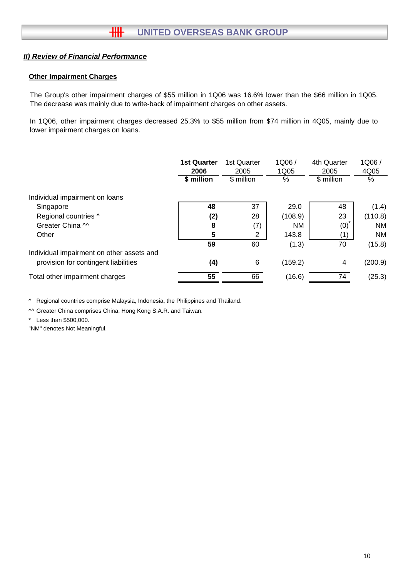# **Other Impairment Charges**

The Group's other impairment charges of \$55 million in 1Q06 was 16.6% lower than the \$66 million in 1Q05. The decrease was mainly due to write-back of impairment charges on other assets.

In 1Q06, other impairment charges decreased 25.3% to \$55 million from \$74 million in 4Q05, mainly due to lower impairment charges on loans.

|                                           | <b>1st Quarter</b><br>2006 | 1st Quarter<br>2005 | 1Q06/<br>1Q05 | 4th Quarter<br>2005 | 1Q06/<br>4Q05 |
|-------------------------------------------|----------------------------|---------------------|---------------|---------------------|---------------|
|                                           | \$ million                 | \$ million          | %             | \$ million          | $\%$          |
| Individual impairment on loans            |                            |                     |               |                     |               |
| Singapore                                 | 48                         | 37                  | 29.0          | 48                  | (1.4)         |
| Regional countries ^                      | (2)                        | 28                  | (108.9)       | 23                  | (110.8)       |
| Greater China M                           | 8                          | (7)                 | NM            | (0)                 | <b>NM</b>     |
| Other                                     | 5                          | 2                   | 143.8         | (1)                 | <b>NM</b>     |
|                                           | 59                         | 60                  | (1.3)         | 70                  | (15.8)        |
| Individual impairment on other assets and |                            |                     |               |                     |               |
| provision for contingent liabilities      | (4)                        | 6                   | (159.2)       | 4                   | (200.9)       |
| Total other impairment charges            | 55                         | 66                  | (16.6)        | 74                  | (25.3)        |

^ Regional countries comprise Malaysia, Indonesia, the Philippines and Thailand.

^^ Greater China comprises China, Hong Kong S.A.R. and Taiwan.

\* Less than \$500,000.

"NM" denotes Not Meaningful.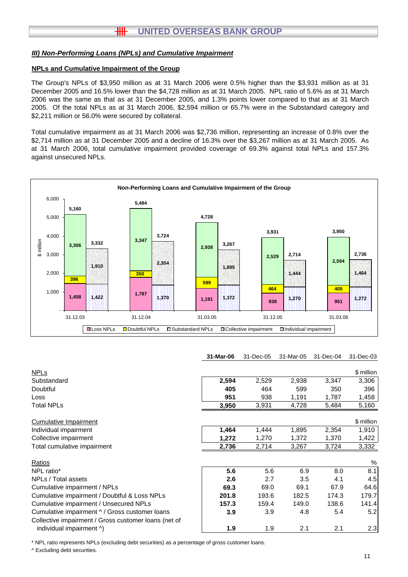# **HH UNITED OVERSEAS BANK GROUP**

#### *III) Non-Performing Loans (NPLs) and Cumulative Impairment*

#### **NPLs and Cumulative Impairment of the Group**

The Group's NPLs of \$3,950 million as at 31 March 2006 were 0.5% higher than the \$3,931 million as at 31 December 2005 and 16.5% lower than the \$4,728 million as at 31 March 2005. NPL ratio of 5.6% as at 31 March 2006 was the same as that as at 31 December 2005, and 1.3% points lower compared to that as at 31 March 2005. Of the total NPLs as at 31 March 2006, \$2,594 million or 65.7% were in the Substandard category and \$2,211 million or 56.0% were secured by collateral.

Total cumulative impairment as at 31 March 2006 was \$2,736 million, representing an increase of 0.8% over the \$2,714 million as at 31 December 2005 and a decline of 16.3% over the \$3,267 million as at 31 March 2005. As at 31 March 2006, total cumulative impairment provided coverage of 69.3% against total NPLs and 157.3% against unsecured NPLs.



#### **31-Mar-06** 31-Dec-05 31-Mar-05 31-Dec-04 31-Dec-03

|       |       |       |       | \$ million |
|-------|-------|-------|-------|------------|
| 2,594 | 2,529 | 2,938 | 3,347 | 3,306      |
| 405   | 464   | 599   | 350   | 396        |
| 951   | 938   | 1,191 | 1,787 | 1,458      |
| 3,950 | 3,931 | 4,728 | 5,484 | 5,160      |
|       |       |       |       | \$ million |
| 1,464 | 1,444 | 1,895 | 2,354 | 1,910      |
| 1,272 | 1,270 | 1,372 | 1,370 | 1,422      |
| 2,736 | 2,714 | 3,267 | 3,724 | 3,332      |
|       |       |       |       | %          |
| 5.6   | 5.6   | 6.9   | 8.0   | 8.1        |
| 2.6   | 2.7   | 3.5   | 4.1   | 4.5        |
| 69.3  | 69.0  | 69.1  | 67.9  | 64.6       |
| 201.8 | 193.6 | 182.5 | 174.3 | 179.7      |
| 157.3 | 159.4 | 149.0 | 138.6 | 141.4      |
| 3.9   | 3.9   | 4.8   | 5.4   | 5.2        |
|       |       |       |       |            |
| 1.9   | 1.9   | 2.1   | 2.1   | 2.3        |
|       |       |       |       |            |

\* NPL ratio represents NPLs (excluding debt securities) as a percentage of gross customer loans.

^ Excluding debt securities.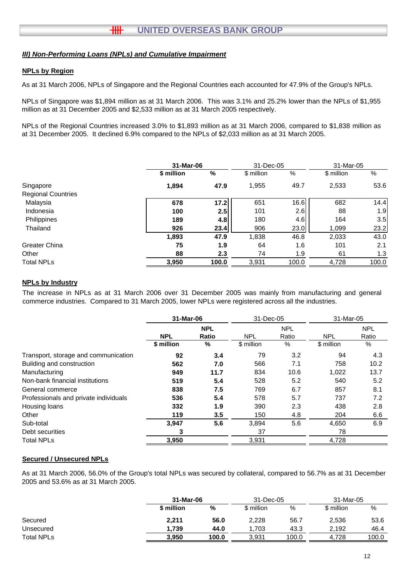### *III) Non-Performing Loans (NPLs) and Cumulative Impairment*

#### **NPLs by Region**

As at 31 March 2006, NPLs of Singapore and the Regional Countries each accounted for 47.9% of the Group's NPLs.

NPLs of Singapore was \$1,894 million as at 31 March 2006. This was 3.1% and 25.2% lower than the NPLs of \$1,955 million as at 31 December 2005 and \$2,533 million as at 31 March 2005 respectively.

NPLs of the Regional Countries increased 3.0% to \$1,893 million as at 31 March 2006, compared to \$1,838 million as at 31 December 2005. It declined 6.9% compared to the NPLs of \$2,033 million as at 31 March 2005.

|                           |            | 31-Mar-06 |            | 31-Dec-05 | 31-Mar-05  |       |
|---------------------------|------------|-----------|------------|-----------|------------|-------|
|                           | \$ million | %         | \$ million | %         | \$ million | %     |
| Singapore                 | 1,894      | 47.9      | 1,955      | 49.7      | 2,533      | 53.6  |
| <b>Regional Countries</b> |            |           |            |           |            |       |
| Malaysia                  | 678        | 17.2      | 651        | 16.6      | 682        | 14.4  |
| Indonesia                 | 100        | 2.5       | 101        | 2.6       | 88         | 1.9   |
| Philippines               | 189        | 4.8       | 180        | 4.6       | 164        | 3.5   |
| Thailand                  | 926        | 23.4      | 906        | 23.0      | 1,099      | 23.2  |
|                           | 1,893      | 47.9      | 1,838      | 46.8      | 2,033      | 43.0  |
| <b>Greater China</b>      | 75         | 1.9       | 64         | 1.6       | 101        | 2.1   |
| Other                     | 88         | 2.3       | 74         | 1.9       | 61         | 1.3   |
| <b>Total NPLs</b>         | 3,950      | 100.0     | 3,931      | 100.0     | 4,728      | 100.0 |

# **NPLs by Industry**

The increase in NPLs as at 31 March 2006 over 31 December 2005 was mainly from manufacturing and general commerce industries. Compared to 31 March 2005, lower NPLs were registered across all the industries.

|                                       | 31-Mar-06  |            | 31-Dec-05  |            | 31-Mar-05  |            |
|---------------------------------------|------------|------------|------------|------------|------------|------------|
|                                       |            | <b>NPL</b> |            | <b>NPL</b> |            | <b>NPL</b> |
|                                       | <b>NPL</b> | Ratio      | <b>NPL</b> | Ratio      | <b>NPL</b> | Ratio      |
|                                       | \$ million | %          | \$ million | $\%$       | \$ million | %          |
| Transport, storage and communication  | 92         | 3.4        | 79         | 3.2        | 94         | 4.3        |
| Building and construction             | 562        | 7.0        | 566        | 7.1        | 758        | 10.2       |
| Manufacturing                         | 949        | 11.7       | 834        | 10.6       | 1,022      | 13.7       |
| Non-bank financial institutions       | 519        | 5.4        | 528        | 5.2        | 540        | 5.2        |
| General commerce                      | 838        | 7.5        | 769        | 6.7        | 857        | 8.1        |
| Professionals and private individuals | 536        | 5.4        | 578        | 5.7        | 737        | 7.2        |
| Housing loans                         | 332        | 1.9        | 390        | 2.3        | 438        | 2.8        |
| Other                                 | 119        | 3.5        | 150        | 4.8        | 204        | 6.6        |
| Sub-total                             | 3,947      | 5.6        | 3,894      | 5.6        | 4,650      | 6.9        |
| Debt securities                       | 3          |            | 37         |            | 78         |            |
| <b>Total NPLs</b>                     | 3,950      |            | 3,931      |            | 4,728      |            |

#### **Secured / Unsecured NPLs**

As at 31 March 2006, 56.0% of the Group's total NPLs was secured by collateral, compared to 56.7% as at 31 December 2005 and 53.6% as at 31 March 2005.

|                   |            | 31-Mar-06 |            | 31-Dec-05 |            | 31-Mar-05 |
|-------------------|------------|-----------|------------|-----------|------------|-----------|
|                   | \$ million | %         | \$ million | %         | \$ million | %         |
| Secured           | 2,211      | 56.0      | 2,228      | 56.7      | 2,536      | 53.6      |
| Unsecured         | 1.739      | 44.0      | 1.703      | 43.3      | 2.192      | 46.4      |
| <b>Total NPLs</b> | 3.950      | 100.0     | 3.931      | 100.0     | 4.728      | 100.0     |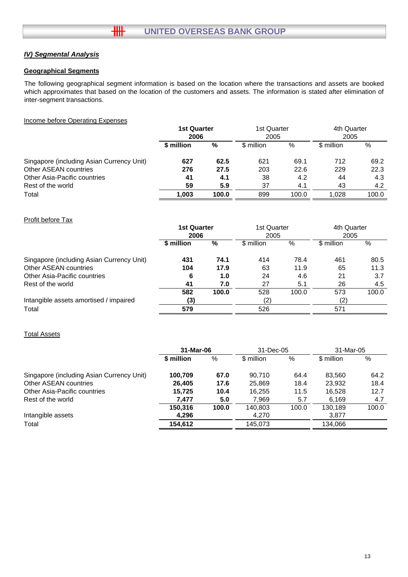# *IV) Segmental Analysis*

#### **Geographical Segments**

The following geographical segment information is based on the location where the transactions and assets are booked which approximates that based on the location of the customers and assets. The information is stated after elimination of inter-segment transactions.

#### Income before Operating Expenses

|                                           | <b>1st Quarter</b><br>2006 |       | 1st Quarter<br>2005 |       | 4th Quarter<br>2005 |       |
|-------------------------------------------|----------------------------|-------|---------------------|-------|---------------------|-------|
|                                           | \$ million                 | %     | \$ million          | %     | \$ million          | %     |
| Singapore (including Asian Currency Unit) | 627                        | 62.5  | 621                 | 69.1  | 712                 | 69.2  |
| Other ASEAN countries                     | 276                        | 27.5  | 203                 | 22.6  | 229                 | 22.3  |
| Other Asia-Pacific countries              | 41                         | 4.1   | 38                  | 4.2   | 44                  | 4.3   |
| Rest of the world                         | 59                         | 5.9   | 37                  | 4.1   | 43                  | 4.2   |
| Total                                     | 1.003                      | 100.0 | 899                 | 100.0 | 1.028               | 100.0 |

#### Profit before Tax

|                                           | <b>1st Quarter</b><br>2006 |       | 1st Quarter<br>2005 |       | 4th Quarter<br>2005 |       |
|-------------------------------------------|----------------------------|-------|---------------------|-------|---------------------|-------|
|                                           | \$ million                 | %     | \$ million          | %     | \$ million          | %     |
| Singapore (including Asian Currency Unit) | 431                        | 74.1  | 414                 | 78.4  | 461                 | 80.5  |
| <b>Other ASEAN countries</b>              | 104                        | 17.9  | 63                  | 11.9  | 65                  | 11.3  |
| Other Asia-Pacific countries              | 6                          | 1.0   | 24                  | 4.6   | 21                  | 3.7   |
| Rest of the world                         | 41                         | 7.0   | 27                  | 5.1   | 26                  | 4.5   |
|                                           | 582                        | 100.0 | 528                 | 100.0 | 573                 | 100.0 |
| Intangible assets amortised / impaired    | (3)                        |       | (2)                 |       | (2)                 |       |
| Total                                     | 579                        |       | 526                 |       | 571                 |       |

#### Total Assets

|                                           | 31-Mar-06  |       | 31-Dec-05  |       | 31-Mar-05  |       |
|-------------------------------------------|------------|-------|------------|-------|------------|-------|
|                                           | \$ million | %     | \$ million | %     | \$ million | %     |
| Singapore (including Asian Currency Unit) | 100,709    | 67.0  | 90,710     | 64.4  | 83.560     | 64.2  |
| Other ASEAN countries                     | 26.405     | 17.6  | 25,869     | 18.4  | 23.932     | 18.4  |
| Other Asia-Pacific countries              | 15,725     | 10.4  | 16,255     | 11.5  | 16.528     | 12.7  |
| Rest of the world                         | 7,477      | 5.0   | 7,969      | 5.7   | 6,169      | 4.7   |
|                                           | 150,316    | 100.0 | 140,803    | 100.0 | 130.189    | 100.0 |
| Intangible assets                         | 4,296      |       | 4,270      |       | 3,877      |       |
| Total                                     | 154,612    |       | 145.073    |       | 134.066    |       |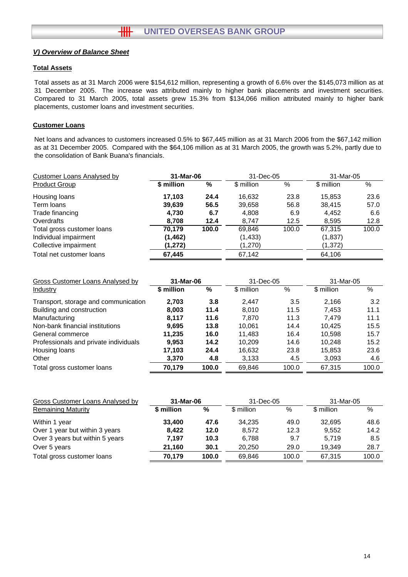#### **Total Assets**

Total assets as at 31 March 2006 were \$154,612 million, representing a growth of 6.6% over the \$145,073 million as at 31 December 2005. The increase was attributed mainly to higher bank placements and investment securities. Compared to 31 March 2005, total assets grew 15.3% from \$134,066 million attributed mainly to higher bank placements, customer loans and investment securities.

### **Customer Loans**

Net loans and advances to customers increased 0.5% to \$67,445 million as at 31 March 2006 from the \$67,142 million as at 31 December 2005. Compared with the \$64,106 million as at 31 March 2005, the growth was 5.2%, partly due to the consolidation of Bank Buana's financials.

| <b>Customer Loans Analysed by</b> | 31-Mar-06  |       | 31-Dec-05  |       | 31-Mar-05  |       |
|-----------------------------------|------------|-------|------------|-------|------------|-------|
| <b>Product Group</b>              | \$ million | %     | \$ million | $\%$  | \$ million | %     |
| Housing loans                     | 17,103     | 24.4  | 16,632     | 23.8  | 15,853     | 23.6  |
| Term loans                        | 39,639     | 56.5  | 39,658     | 56.8  | 38.415     | 57.0  |
| Trade financing                   | 4,730      | 6.7   | 4,808      | 6.9   | 4,452      | 6.6   |
| Overdrafts                        | 8,708      | 12.4  | 8.747      | 12.5  | 8,595      | 12.8  |
| Total gross customer loans        | 70,179     | 100.0 | 69,846     | 100.0 | 67,315     | 100.0 |
| Individual impairment             | (1, 462)   |       | (1, 433)   |       | (1, 837)   |       |
| Collective impairment             | (1, 272)   |       | (1,270)    |       | (1, 372)   |       |
| Total net customer loans          | 67,445     |       | 67,142     |       | 64,106     |       |

| Gross Customer Loans Analysed by      | 31-Mar-06  |       | 31-Dec-05  |       | 31-Mar-05  |       |
|---------------------------------------|------------|-------|------------|-------|------------|-------|
| Industry                              | \$ million | %     | \$ million | $\%$  | \$ million | %     |
| Transport, storage and communication  | 2.703      | 3.8   | 2.447      | 3.5   | 2.166      | 3.2   |
| Building and construction             | 8.003      | 11.4  | 8.010      | 11.5  | 7.453      | 11.1  |
| Manufacturing                         | 8.117      | 11.6  | 7.870      | 11.3  | 7.479      | 11.1  |
| Non-bank financial institutions       | 9.695      | 13.8  | 10.061     | 14.4  | 10.425     | 15.5  |
| General commerce                      | 11.235     | 16.0  | 11.483     | 16.4  | 10.598     | 15.7  |
| Professionals and private individuals | 9,953      | 14.2  | 10.209     | 14.6  | 10.248     | 15.2  |
| Housing loans                         | 17,103     | 24.4  | 16,632     | 23.8  | 15,853     | 23.6  |
| Other                                 | 3,370      | 4.8   | 3,133      | 4.5   | 3,093      | 4.6   |
| Total gross customer loans            | 70,179     | 100.0 | 69,846     | 100.0 | 67,315     | 100.0 |

| \$ million | %     | \$ million | $\%$  | \$ million | %         |
|------------|-------|------------|-------|------------|-----------|
| 33,400     | 47.6  | 34.235     | 49.0  | 32.695     | 48.6      |
| 8.422      | 12.0  | 8.572      | 12.3  | 9.552      | 14.2      |
| 7.197      | 10.3  | 6.788      | 9.7   | 5.719      | 8.5       |
| 21.160     | 30.1  | 20.250     | 29.0  | 19.349     | 28.7      |
| 70.179     | 100.0 | 69.846     | 100.0 | 67.315     | 100.0     |
|            |       | 31-Mar-06  |       | 31-Dec-05  | 31-Mar-05 |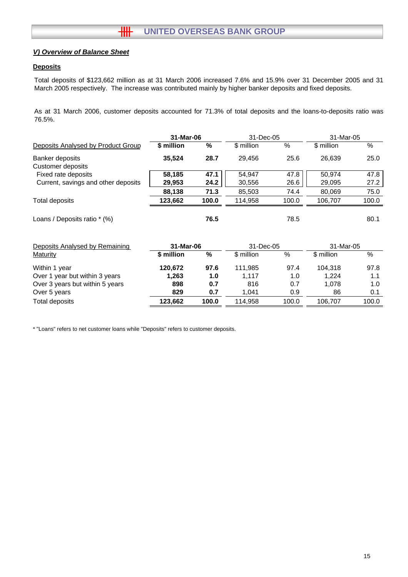#### **Deposits**

Total deposits of \$123,662 million as at 31 March 2006 increased 7.6% and 15.9% over 31 December 2005 and 31 March 2005 respectively. The increase was contributed mainly by higher banker deposits and fixed deposits.

As at 31 March 2006, customer deposits accounted for 71.3% of total deposits and the loans-to-deposits ratio was 76.5%.

|                                     | 31-Mar-06  |       | 31-Dec-05  |       | 31-Mar-05  |       |
|-------------------------------------|------------|-------|------------|-------|------------|-------|
| Deposits Analysed by Product Group  | \$ million | %     | \$ million | %     | \$ million | %     |
| Banker deposits                     | 35,524     | 28.7  | 29,456     | 25.6  | 26,639     | 25.0  |
| Customer deposits                   |            |       |            |       |            |       |
| Fixed rate deposits                 | 58,185     | 47.1  | 54,947     | 47.8  | 50,974     | 47.8  |
| Current, savings and other deposits | 29,953     | 24.2  | 30,556     | 26.6  | 29,095     | 27.2  |
|                                     | 88,138     | 71.3  | 85,503     | 74.4  | 80,069     | 75.0  |
| Total deposits                      | 123,662    | 100.0 | 114,958    | 100.0 | 106,707    | 100.0 |
| Loans / Deposits ratio * (%)        |            | 76.5  |            | 78.5  |            | 80.1  |
| Deposits Analysed by Remaining      | 31-Mar-06  |       | 31-Dec-05  |       | 31-Mar-05  |       |
| Maturity                            | \$ million | $\%$  | \$ million | $\%$  | \$ million | $\%$  |
| Within 1 year                       | 120,672    | 97.6  | 111,985    | 97.4  | 104,318    | 97.8  |
| Over 1 year but within 3 years      | 1,263      | 1.0   | 1,117      | 1.0   | 1,224      | 1.1   |
| Over 3 years but within 5 years     | 898        | 0.7   | 816        | 0.7   | 1,078      | 1.0   |
| Over 5 years                        | 829        | 0.7   | 1,041      | 0.9   | 86         | 0.1   |
| Total deposits                      | 123,662    | 100.0 | 114,958    | 100.0 | 106,707    | 100.0 |

\* "Loans" refers to net customer loans while "Deposits" refers to customer deposits.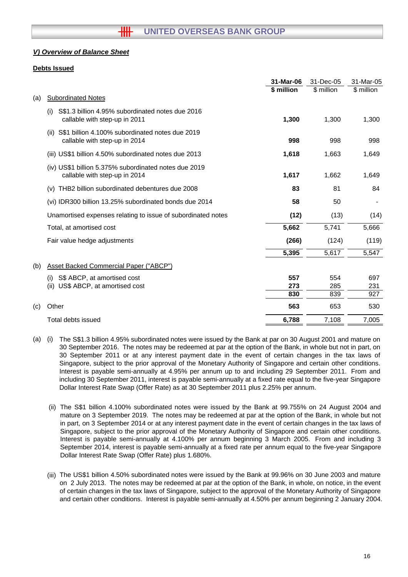#### **Debts Issued**

|     |                                                                                          | 31-Mar-06  | 31-Dec-05  | 31-Mar-05  |
|-----|------------------------------------------------------------------------------------------|------------|------------|------------|
|     |                                                                                          | \$ million | \$ million | \$ million |
| (a) | <b>Subordinated Notes</b>                                                                |            |            |            |
|     | S\$1.3 billion 4.95% subordinated notes due 2016<br>(i)<br>callable with step-up in 2011 | 1,300      | 1,300      | 1,300      |
|     | S\$1 billion 4.100% subordinated notes due 2019<br>(ii)<br>callable with step-up in 2014 | 998        | 998        | 998        |
|     | (iii) US\$1 billion 4.50% subordinated notes due 2013                                    | 1,618      | 1,663      | 1,649      |
|     | (iv) US\$1 billion 5.375% subordinated notes due 2019<br>callable with step-up in 2014   | 1,617      | 1,662      | 1,649      |
|     | THB2 billion subordinated debentures due 2008<br>(v)                                     | 83         | 81         | 84         |
|     | (vi) IDR300 billion 13.25% subordinated bonds due 2014                                   | 58         | 50         |            |
|     | Unamortised expenses relating to issue of subordinated notes                             | (12)       | (13)       | (14)       |
|     | Total, at amortised cost                                                                 | 5,662      | 5,741      | 5,666      |
|     | Fair value hedge adjustments                                                             | (266)      | (124)      | (119)      |
|     |                                                                                          | 5,395      | 5,617      | 5,547      |
| (b) | <b>Asset Backed Commercial Paper ("ABCP")</b>                                            |            |            |            |
|     | S\$ ABCP, at amortised cost<br>(i)                                                       | 557        | 554        | 697        |
|     | US\$ ABCP, at amortised cost<br>(ii)                                                     | 273        | 285        | 231        |
|     |                                                                                          | 830        | 839        | 927        |
| (c) | Other                                                                                    | 563        | 653        | 530        |
|     | Total debts issued                                                                       | 6,788      | 7,108      | 7,005      |

- (a) (i) The S\$1.3 billion 4.95% subordinated notes were issued by the Bank at par on 30 August 2001 and mature on 30 September 2016. The notes may be redeemed at par at the option of the Bank, in whole but not in part, on 30 September 2011 or at any interest payment date in the event of certain changes in the tax laws of Singapore, subject to the prior approval of the Monetary Authority of Singapore and certain other conditions. Interest is payable semi-annually at 4.95% per annum up to and including 29 September 2011. From and including 30 September 2011, interest is payable semi-annually at a fixed rate equal to the five-year Singapore Dollar Interest Rate Swap (Offer Rate) as at 30 September 2011 plus 2.25% per annum.
	- (ii) The S\$1 billion 4.100% subordinated notes were issued by the Bank at 99.755% on 24 August 2004 and mature on 3 September 2019. The notes may be redeemed at par at the option of the Bank, in whole but not in part, on 3 September 2014 or at any interest payment date in the event of certain changes in the tax laws of Singapore, subject to the prior approval of the Monetary Authority of Singapore and certain other conditions. Interest is payable semi-annually at 4.100% per annum beginning 3 March 2005. From and including 3 September 2014, interest is payable semi-annually at a fixed rate per annum equal to the five-year Singapore Dollar Interest Rate Swap (Offer Rate) plus 1.680%.
	- (iii) The US\$1 billion 4.50% subordinated notes were issued by the Bank at 99.96% on 30 June 2003 and mature on 2 July 2013. The notes may be redeemed at par at the option of the Bank, in whole, on notice, in the event of certain changes in the tax laws of Singapore, subject to the approval of the Monetary Authority of Singapore and certain other conditions. Interest is payable semi-annually at 4.50% per annum beginning 2 January 2004.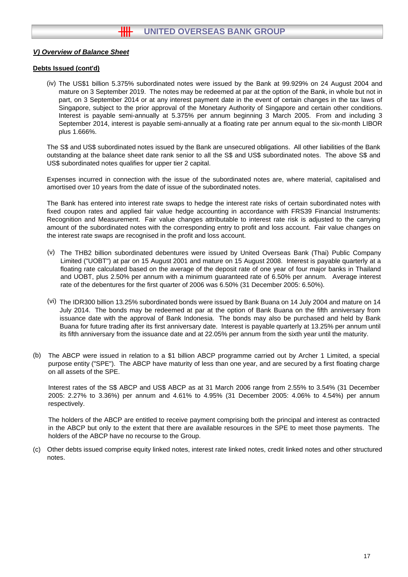#### **Debts Issued (cont'd)**

(iv) The US\$1 billion 5.375% subordinated notes were issued by the Bank at 99.929% on 24 August 2004 and mature on 3 September 2019. The notes may be redeemed at par at the option of the Bank, in whole but not in part, on 3 September 2014 or at any interest payment date in the event of certain changes in the tax laws of Singapore, subject to the prior approval of the Monetary Authority of Singapore and certain other conditions. Interest is payable semi-annually at 5.375% per annum beginning 3 March 2005. From and including 3 September 2014, interest is payable semi-annually at a floating rate per annum equal to the six-month LIBOR plus 1.666%.

The S\$ and US\$ subordinated notes issued by the Bank are unsecured obligations. All other liabilities of the Bank outstanding at the balance sheet date rank senior to all the S\$ and US\$ subordinated notes. The above S\$ and US\$ subordinated notes qualifies for upper tier 2 capital.

Expenses incurred in connection with the issue of the subordinated notes are, where material, capitalised and amortised over 10 years from the date of issue of the subordinated notes.

The Bank has entered into interest rate swaps to hedge the interest rate risks of certain subordinated notes with fixed coupon rates and applied fair value hedge accounting in accordance with FRS39 Financial Instruments: Recognition and Measurement. Fair value changes attributable to interest rate risk is adjusted to the carrying amount of the subordinated notes with the corresponding entry to profit and loss account. Fair value changes on the interest rate swaps are recognised in the profit and loss account.

- (v) The THB2 billion subordinated debentures were issued by United Overseas Bank (Thai) Public Company Limited ("UOBT") at par on 15 August 2001 and mature on 15 August 2008. Interest is payable quarterly at a floating rate calculated based on the average of the deposit rate of one year of four major banks in Thailand and UOBT, plus 2.50% per annum with a minimum guaranteed rate of 6.50% per annum. Average interest rate of the debentures for the first quarter of 2006 was 6.50% (31 December 2005: 6.50%).
- (vi) The IDR300 billion 13.25% subordinated bonds were issued by Bank Buana on 14 July 2004 and mature on 14 July 2014. The bonds may be redeemed at par at the option of Bank Buana on the fifth anniversary from issuance date with the approval of Bank Indonesia. The bonds may also be purchased and held by Bank Buana for future trading after its first anniversary date. Interest is payable quarterly at 13.25% per annum until its fifth anniversary from the issuance date and at 22.05% per annum from the sixth year until the maturity.
- (b) The ABCP were issued in relation to a \$1 billion ABCP programme carried out by Archer 1 Limited, a special purpose entity ("SPE"). The ABCP have maturity of less than one year, and are secured by a first floating charge on all assets of the SPE.

Interest rates of the S\$ ABCP and US\$ ABCP as at 31 March 2006 range from 2.55% to 3.54% (31 December 2005: 2.27% to 3.36%) per annum and 4.61% to 4.95% (31 December 2005: 4.06% to 4.54%) per annum respectively.

The holders of the ABCP are entitled to receive payment comprising both the principal and interest as contracted in the ABCP but only to the extent that there are available resources in the SPE to meet those payments. The holders of the ABCP have no recourse to the Group.

(c) Other debts issued comprise equity linked notes, interest rate linked notes, credit linked notes and other structured notes.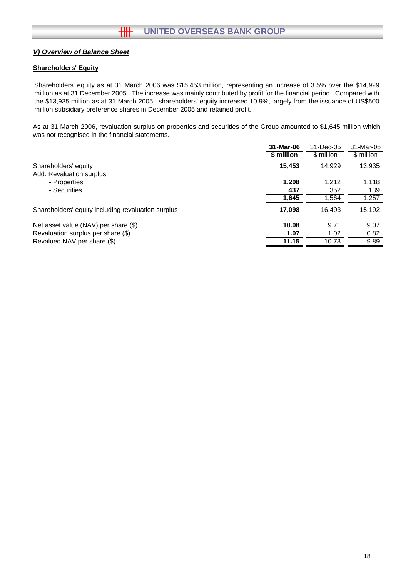# **Shareholders' Equity**

Shareholders' equity as at 31 March 2006 was \$15,453 million, representing an increase of 3.5% over the \$14,929 million as at 31 December 2005. The increase was mainly contributed by profit for the financial period. Compared with the \$13,935 million as at 31 March 2005, shareholders' equity increased 10.9%, largely from the issuance of US\$500 million subsidiary preference shares in December 2005 and retained profit.

As at 31 March 2006, revaluation surplus on properties and securities of the Group amounted to \$1,645 million which was not recognised in the financial statements.

|                                                    | 31-Mar-06  | 31-Dec-05  | 31-Mar-05  |
|----------------------------------------------------|------------|------------|------------|
|                                                    | \$ million | \$ million | \$ million |
| Shareholders' equity                               | 15,453     | 14.929     | 13,935     |
| Add: Revaluation surplus                           |            |            |            |
| - Properties                                       | 1,208      | 1,212      | 1,118      |
| - Securities                                       | 437        | 352        | 139        |
|                                                    | 1,645      | 1,564      | 1,257      |
| Shareholders' equity including revaluation surplus | 17,098     | 16,493     | 15,192     |
|                                                    |            |            |            |
| Net asset value (NAV) per share (\$)               | 10.08      | 9.71       | 9.07       |
| Revaluation surplus per share (\$)                 | 1.07       | 1.02       | 0.82       |
| Revalued NAV per share (\$)                        | 11.15      | 10.73      | 9.89       |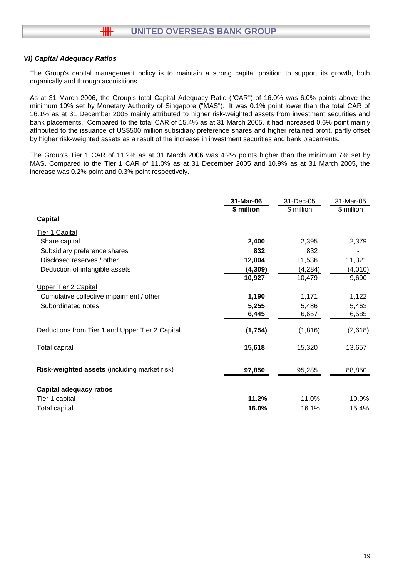### *VI) Capital Adequacy Ratios*

卌

The Group's capital management policy is to maintain a strong capital position to support its growth, both organically and through acquisitions.

As at 31 March 2006, the Group's total Capital Adequacy Ratio ("CAR") of 16.0% was 6.0% points above the minimum 10% set by Monetary Authority of Singapore ("MAS"). It was 0.1% point lower than the total CAR of 16.1% as at 31 December 2005 mainly attributed to higher risk-weighted assets from investment securities and bank placements. Compared to the total CAR of 15.4% as at 31 March 2005, it had increased 0.6% point mainly attributed to the issuance of US\$500 million subsidiary preference shares and higher retained profit, partly offset by higher risk-weighted assets as a result of the increase in investment securities and bank placements.

The Group's Tier 1 CAR of 11.2% as at 31 March 2006 was 4.2% points higher than the minimum 7% set by MAS. Compared to the Tier 1 CAR of 11.0% as at 31 December 2005 and 10.9% as at 31 March 2005, the increase was 0.2% point and 0.3% point respectively.

|                                                 | 31-Mar-06  | 31-Dec-05  | 31-Mar-05  |
|-------------------------------------------------|------------|------------|------------|
|                                                 | \$ million | \$ million | \$ million |
| <b>Capital</b>                                  |            |            |            |
| Tier 1 Capital                                  |            |            |            |
| Share capital                                   | 2,400      | 2,395      | 2,379      |
| Subsidiary preference shares                    | 832        | 832        |            |
| Disclosed reserves / other                      | 12,004     | 11,536     | 11,321     |
| Deduction of intangible assets                  | (4, 309)   | (4, 284)   | (4,010)    |
|                                                 | 10,927     | 10,479     | 9,690      |
| <b>Upper Tier 2 Capital</b>                     |            |            |            |
| Cumulative collective impairment / other        | 1,190      | 1,171      | 1,122      |
| Subordinated notes                              | 5,255      | 5,486      | 5,463      |
|                                                 | 6,445      | 6,657      | 6,585      |
| Deductions from Tier 1 and Upper Tier 2 Capital | (1,754)    | (1, 816)   | (2,618)    |
| <b>Total capital</b>                            | 15,618     | 15,320     | 13,657     |
| Risk-weighted assets (including market risk)    | 97,850     | 95,285     | 88,850     |
| <b>Capital adequacy ratios</b>                  |            |            |            |
| Tier 1 capital                                  | 11.2%      | 11.0%      | 10.9%      |
| Total capital                                   | 16.0%      | 16.1%      | 15.4%      |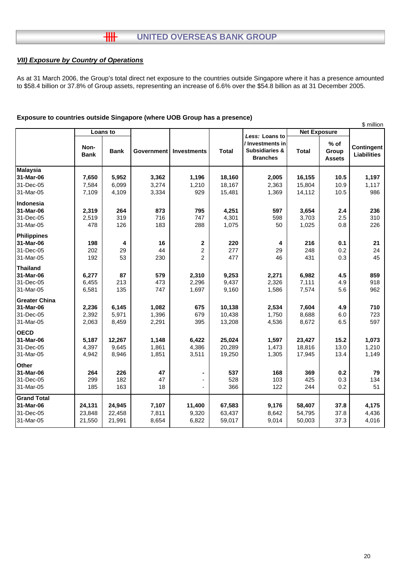# **UNITED OVERSEAS BANK GROUP**

# *VII) Exposure by Country of Operations*

 $\overline{\mathbf{H}}$ 

As at 31 March 2006, the Group's total direct net exposure to the countries outside Singapore where it has a presence amounted to \$58.4 billion or 37.8% of Group assets, representing an increase of 6.6% over the \$54.8 billion as at 31 December 2005.

| Loans to<br><b>Net Exposure</b><br>Less: Loans to<br>/ Investments in<br>$%$ of<br>Non-<br>Contingent<br><b>Subsidiaries &amp;</b><br><b>Bank</b><br><b>Total</b><br><b>Total</b><br>Group<br><b>Government</b><br>Investments<br><b>Liabilities</b><br><b>Bank</b><br><b>Branches</b><br><b>Assets</b><br>5,952<br>3,362<br>16,155<br>7,650<br>1,196<br>18,160<br>2,005<br>10.5<br>1,197<br>7,584<br>6,099<br>3,274<br>1,210<br>18,167<br>2,363<br>15,804<br>10.9<br>1,117<br>7,109<br>929<br>986<br>4,109<br>3,334<br>15,481<br>1,369<br>14,112<br>10.5<br>2,319<br>264<br>873<br>795<br>4,251<br>597<br>3,654<br>236<br>2.4<br>319<br>2,519<br>716<br>747<br>4,301<br>598<br>3,703<br>2.5<br>310<br>478<br>126<br>183<br>288<br>1,075<br>50<br>1,025<br>0.8<br>226<br>198<br>16<br>$\boldsymbol{2}$<br>216<br>0.1<br>21<br>4<br>220<br>4<br>29<br>24<br>202<br>44<br>2<br>277<br>29<br>248<br>0.2<br>53<br>$\overline{2}$<br>477<br>0.3<br>45<br>192<br>230<br>46<br>431<br>6,277<br>87<br>579<br>2,310<br>9,253<br>2,271<br>6,982<br>4.5<br>859<br>6,455<br>213<br>473<br>2,296<br>9,437<br>2,326<br>7,111<br>4.9<br>918<br>6,581<br>135<br>9,160<br>747<br>1,697<br>1,586<br>7,574<br>5.6<br>962<br>2,236<br>6,145<br>1,082<br>675<br>10,138<br>2,534<br>7,604<br>4.9<br>710<br>2,392<br>5,971<br>1,396<br>679<br>10,438<br>1,750<br>8,688<br>6.0<br>723<br>395<br>597<br>2,063<br>8,459<br>2,291<br>13,208<br>4,536<br>8,672<br>6.5<br>12,267<br>5,187<br>1,148<br>25,024<br>1,597<br>23,427<br>15.2<br>1,073<br>6,422<br>4,397<br>4,386<br>20,289<br>18,816<br>13.0<br>1,210<br>9,645<br>1,861<br>1,473<br>1,851<br>4,942<br>8,946<br>3,511<br>19,250<br>1,305<br>17,945<br>13.4<br>1,149<br>226<br>47<br>537<br>369<br>0.2<br>264<br>168<br>79<br>299<br>182<br>425<br>0.3<br>47<br>528<br>103<br>134<br>163<br>18<br>366<br>122<br>244<br>51<br>185<br>0.2<br>24,945<br>24,131<br>7,107<br>11,400<br>67,583<br>9,176<br>58,407<br>37.8<br>4,175<br>23,848<br>22,458<br>7,811<br>9,320<br>63,437<br>8,642<br>54,795<br>37.8<br>4,436<br>6,822<br>21,550<br>21,991<br>8,654<br>59,017<br>9,014<br>50,003<br>37.3<br>4,016 |                      |  |  |  |  | \$ million |
|----------------------------------------------------------------------------------------------------------------------------------------------------------------------------------------------------------------------------------------------------------------------------------------------------------------------------------------------------------------------------------------------------------------------------------------------------------------------------------------------------------------------------------------------------------------------------------------------------------------------------------------------------------------------------------------------------------------------------------------------------------------------------------------------------------------------------------------------------------------------------------------------------------------------------------------------------------------------------------------------------------------------------------------------------------------------------------------------------------------------------------------------------------------------------------------------------------------------------------------------------------------------------------------------------------------------------------------------------------------------------------------------------------------------------------------------------------------------------------------------------------------------------------------------------------------------------------------------------------------------------------------------------------------------------------------------------------------------------------------------------------------------------------------------------------------------------------------------------------------------------------------------------------------------------------------------------------------------------------------------------------------------------------------------------------------------------------------------------------------------------------|----------------------|--|--|--|--|------------|
|                                                                                                                                                                                                                                                                                                                                                                                                                                                                                                                                                                                                                                                                                                                                                                                                                                                                                                                                                                                                                                                                                                                                                                                                                                                                                                                                                                                                                                                                                                                                                                                                                                                                                                                                                                                                                                                                                                                                                                                                                                                                                                                                  |                      |  |  |  |  |            |
|                                                                                                                                                                                                                                                                                                                                                                                                                                                                                                                                                                                                                                                                                                                                                                                                                                                                                                                                                                                                                                                                                                                                                                                                                                                                                                                                                                                                                                                                                                                                                                                                                                                                                                                                                                                                                                                                                                                                                                                                                                                                                                                                  |                      |  |  |  |  |            |
|                                                                                                                                                                                                                                                                                                                                                                                                                                                                                                                                                                                                                                                                                                                                                                                                                                                                                                                                                                                                                                                                                                                                                                                                                                                                                                                                                                                                                                                                                                                                                                                                                                                                                                                                                                                                                                                                                                                                                                                                                                                                                                                                  | <b>Malaysia</b>      |  |  |  |  |            |
|                                                                                                                                                                                                                                                                                                                                                                                                                                                                                                                                                                                                                                                                                                                                                                                                                                                                                                                                                                                                                                                                                                                                                                                                                                                                                                                                                                                                                                                                                                                                                                                                                                                                                                                                                                                                                                                                                                                                                                                                                                                                                                                                  | 31-Mar-06            |  |  |  |  |            |
|                                                                                                                                                                                                                                                                                                                                                                                                                                                                                                                                                                                                                                                                                                                                                                                                                                                                                                                                                                                                                                                                                                                                                                                                                                                                                                                                                                                                                                                                                                                                                                                                                                                                                                                                                                                                                                                                                                                                                                                                                                                                                                                                  | 31-Dec-05            |  |  |  |  |            |
|                                                                                                                                                                                                                                                                                                                                                                                                                                                                                                                                                                                                                                                                                                                                                                                                                                                                                                                                                                                                                                                                                                                                                                                                                                                                                                                                                                                                                                                                                                                                                                                                                                                                                                                                                                                                                                                                                                                                                                                                                                                                                                                                  | 31-Mar-05            |  |  |  |  |            |
|                                                                                                                                                                                                                                                                                                                                                                                                                                                                                                                                                                                                                                                                                                                                                                                                                                                                                                                                                                                                                                                                                                                                                                                                                                                                                                                                                                                                                                                                                                                                                                                                                                                                                                                                                                                                                                                                                                                                                                                                                                                                                                                                  | Indonesia            |  |  |  |  |            |
|                                                                                                                                                                                                                                                                                                                                                                                                                                                                                                                                                                                                                                                                                                                                                                                                                                                                                                                                                                                                                                                                                                                                                                                                                                                                                                                                                                                                                                                                                                                                                                                                                                                                                                                                                                                                                                                                                                                                                                                                                                                                                                                                  | 31-Mar-06            |  |  |  |  |            |
|                                                                                                                                                                                                                                                                                                                                                                                                                                                                                                                                                                                                                                                                                                                                                                                                                                                                                                                                                                                                                                                                                                                                                                                                                                                                                                                                                                                                                                                                                                                                                                                                                                                                                                                                                                                                                                                                                                                                                                                                                                                                                                                                  | 31-Dec-05            |  |  |  |  |            |
|                                                                                                                                                                                                                                                                                                                                                                                                                                                                                                                                                                                                                                                                                                                                                                                                                                                                                                                                                                                                                                                                                                                                                                                                                                                                                                                                                                                                                                                                                                                                                                                                                                                                                                                                                                                                                                                                                                                                                                                                                                                                                                                                  | 31-Mar-05            |  |  |  |  |            |
|                                                                                                                                                                                                                                                                                                                                                                                                                                                                                                                                                                                                                                                                                                                                                                                                                                                                                                                                                                                                                                                                                                                                                                                                                                                                                                                                                                                                                                                                                                                                                                                                                                                                                                                                                                                                                                                                                                                                                                                                                                                                                                                                  | <b>Philippines</b>   |  |  |  |  |            |
|                                                                                                                                                                                                                                                                                                                                                                                                                                                                                                                                                                                                                                                                                                                                                                                                                                                                                                                                                                                                                                                                                                                                                                                                                                                                                                                                                                                                                                                                                                                                                                                                                                                                                                                                                                                                                                                                                                                                                                                                                                                                                                                                  | 31-Mar-06            |  |  |  |  |            |
|                                                                                                                                                                                                                                                                                                                                                                                                                                                                                                                                                                                                                                                                                                                                                                                                                                                                                                                                                                                                                                                                                                                                                                                                                                                                                                                                                                                                                                                                                                                                                                                                                                                                                                                                                                                                                                                                                                                                                                                                                                                                                                                                  | 31-Dec-05            |  |  |  |  |            |
|                                                                                                                                                                                                                                                                                                                                                                                                                                                                                                                                                                                                                                                                                                                                                                                                                                                                                                                                                                                                                                                                                                                                                                                                                                                                                                                                                                                                                                                                                                                                                                                                                                                                                                                                                                                                                                                                                                                                                                                                                                                                                                                                  | 31-Mar-05            |  |  |  |  |            |
|                                                                                                                                                                                                                                                                                                                                                                                                                                                                                                                                                                                                                                                                                                                                                                                                                                                                                                                                                                                                                                                                                                                                                                                                                                                                                                                                                                                                                                                                                                                                                                                                                                                                                                                                                                                                                                                                                                                                                                                                                                                                                                                                  | <b>Thailand</b>      |  |  |  |  |            |
|                                                                                                                                                                                                                                                                                                                                                                                                                                                                                                                                                                                                                                                                                                                                                                                                                                                                                                                                                                                                                                                                                                                                                                                                                                                                                                                                                                                                                                                                                                                                                                                                                                                                                                                                                                                                                                                                                                                                                                                                                                                                                                                                  | 31-Mar-06            |  |  |  |  |            |
|                                                                                                                                                                                                                                                                                                                                                                                                                                                                                                                                                                                                                                                                                                                                                                                                                                                                                                                                                                                                                                                                                                                                                                                                                                                                                                                                                                                                                                                                                                                                                                                                                                                                                                                                                                                                                                                                                                                                                                                                                                                                                                                                  | 31-Dec-05            |  |  |  |  |            |
|                                                                                                                                                                                                                                                                                                                                                                                                                                                                                                                                                                                                                                                                                                                                                                                                                                                                                                                                                                                                                                                                                                                                                                                                                                                                                                                                                                                                                                                                                                                                                                                                                                                                                                                                                                                                                                                                                                                                                                                                                                                                                                                                  | 31-Mar-05            |  |  |  |  |            |
|                                                                                                                                                                                                                                                                                                                                                                                                                                                                                                                                                                                                                                                                                                                                                                                                                                                                                                                                                                                                                                                                                                                                                                                                                                                                                                                                                                                                                                                                                                                                                                                                                                                                                                                                                                                                                                                                                                                                                                                                                                                                                                                                  | <b>Greater China</b> |  |  |  |  |            |
|                                                                                                                                                                                                                                                                                                                                                                                                                                                                                                                                                                                                                                                                                                                                                                                                                                                                                                                                                                                                                                                                                                                                                                                                                                                                                                                                                                                                                                                                                                                                                                                                                                                                                                                                                                                                                                                                                                                                                                                                                                                                                                                                  | 31-Mar-06            |  |  |  |  |            |
|                                                                                                                                                                                                                                                                                                                                                                                                                                                                                                                                                                                                                                                                                                                                                                                                                                                                                                                                                                                                                                                                                                                                                                                                                                                                                                                                                                                                                                                                                                                                                                                                                                                                                                                                                                                                                                                                                                                                                                                                                                                                                                                                  | 31-Dec-05            |  |  |  |  |            |
|                                                                                                                                                                                                                                                                                                                                                                                                                                                                                                                                                                                                                                                                                                                                                                                                                                                                                                                                                                                                                                                                                                                                                                                                                                                                                                                                                                                                                                                                                                                                                                                                                                                                                                                                                                                                                                                                                                                                                                                                                                                                                                                                  | 31-Mar-05            |  |  |  |  |            |
|                                                                                                                                                                                                                                                                                                                                                                                                                                                                                                                                                                                                                                                                                                                                                                                                                                                                                                                                                                                                                                                                                                                                                                                                                                                                                                                                                                                                                                                                                                                                                                                                                                                                                                                                                                                                                                                                                                                                                                                                                                                                                                                                  | <b>OECD</b>          |  |  |  |  |            |
|                                                                                                                                                                                                                                                                                                                                                                                                                                                                                                                                                                                                                                                                                                                                                                                                                                                                                                                                                                                                                                                                                                                                                                                                                                                                                                                                                                                                                                                                                                                                                                                                                                                                                                                                                                                                                                                                                                                                                                                                                                                                                                                                  | 31-Mar-06            |  |  |  |  |            |
|                                                                                                                                                                                                                                                                                                                                                                                                                                                                                                                                                                                                                                                                                                                                                                                                                                                                                                                                                                                                                                                                                                                                                                                                                                                                                                                                                                                                                                                                                                                                                                                                                                                                                                                                                                                                                                                                                                                                                                                                                                                                                                                                  | 31-Dec-05            |  |  |  |  |            |
|                                                                                                                                                                                                                                                                                                                                                                                                                                                                                                                                                                                                                                                                                                                                                                                                                                                                                                                                                                                                                                                                                                                                                                                                                                                                                                                                                                                                                                                                                                                                                                                                                                                                                                                                                                                                                                                                                                                                                                                                                                                                                                                                  | 31-Mar-05            |  |  |  |  |            |
|                                                                                                                                                                                                                                                                                                                                                                                                                                                                                                                                                                                                                                                                                                                                                                                                                                                                                                                                                                                                                                                                                                                                                                                                                                                                                                                                                                                                                                                                                                                                                                                                                                                                                                                                                                                                                                                                                                                                                                                                                                                                                                                                  | Other                |  |  |  |  |            |
|                                                                                                                                                                                                                                                                                                                                                                                                                                                                                                                                                                                                                                                                                                                                                                                                                                                                                                                                                                                                                                                                                                                                                                                                                                                                                                                                                                                                                                                                                                                                                                                                                                                                                                                                                                                                                                                                                                                                                                                                                                                                                                                                  | 31-Mar-06            |  |  |  |  |            |
|                                                                                                                                                                                                                                                                                                                                                                                                                                                                                                                                                                                                                                                                                                                                                                                                                                                                                                                                                                                                                                                                                                                                                                                                                                                                                                                                                                                                                                                                                                                                                                                                                                                                                                                                                                                                                                                                                                                                                                                                                                                                                                                                  | 31-Dec-05            |  |  |  |  |            |
|                                                                                                                                                                                                                                                                                                                                                                                                                                                                                                                                                                                                                                                                                                                                                                                                                                                                                                                                                                                                                                                                                                                                                                                                                                                                                                                                                                                                                                                                                                                                                                                                                                                                                                                                                                                                                                                                                                                                                                                                                                                                                                                                  | 31-Mar-05            |  |  |  |  |            |
|                                                                                                                                                                                                                                                                                                                                                                                                                                                                                                                                                                                                                                                                                                                                                                                                                                                                                                                                                                                                                                                                                                                                                                                                                                                                                                                                                                                                                                                                                                                                                                                                                                                                                                                                                                                                                                                                                                                                                                                                                                                                                                                                  | <b>Grand Total</b>   |  |  |  |  |            |
|                                                                                                                                                                                                                                                                                                                                                                                                                                                                                                                                                                                                                                                                                                                                                                                                                                                                                                                                                                                                                                                                                                                                                                                                                                                                                                                                                                                                                                                                                                                                                                                                                                                                                                                                                                                                                                                                                                                                                                                                                                                                                                                                  | 31-Mar-06            |  |  |  |  |            |
|                                                                                                                                                                                                                                                                                                                                                                                                                                                                                                                                                                                                                                                                                                                                                                                                                                                                                                                                                                                                                                                                                                                                                                                                                                                                                                                                                                                                                                                                                                                                                                                                                                                                                                                                                                                                                                                                                                                                                                                                                                                                                                                                  | 31-Dec-05            |  |  |  |  |            |
|                                                                                                                                                                                                                                                                                                                                                                                                                                                                                                                                                                                                                                                                                                                                                                                                                                                                                                                                                                                                                                                                                                                                                                                                                                                                                                                                                                                                                                                                                                                                                                                                                                                                                                                                                                                                                                                                                                                                                                                                                                                                                                                                  | 31-Mar-05            |  |  |  |  |            |

#### **Exposure to countries outside Singapore (where UOB Group has a presence)**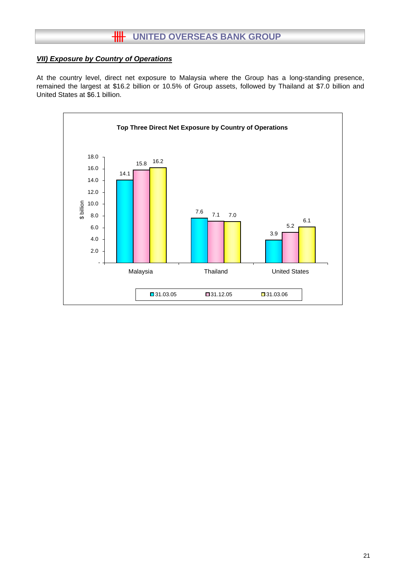# **HH** UNITED OVERSEAS BANK GROUP

# *VII) Exposure by Country of Operations*

At the country level, direct net exposure to Malaysia where the Group has a long-standing presence, remained the largest at \$16.2 billion or 10.5% of Group assets, followed by Thailand at \$7.0 billion and United States at \$6.1 billion.

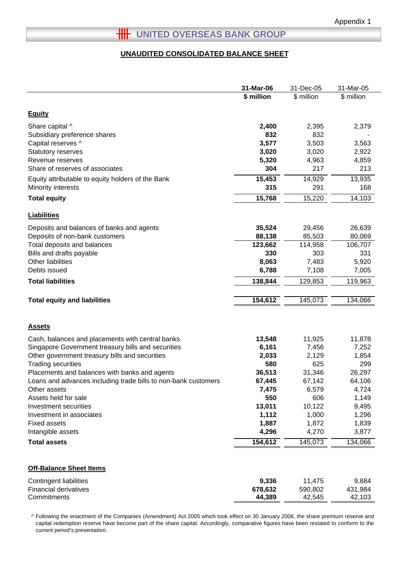# **HH** UNITED OVERSEAS BANK GROUP

#### **UNAUDITED CONSOLIDATED BALANCE SHEET**

|                                                                | 31-Mar-06  | 31-Dec-05  | 31-Mar-05  |
|----------------------------------------------------------------|------------|------------|------------|
|                                                                | \$ million | \$ million | \$ million |
|                                                                |            |            |            |
| <b>Equity</b>                                                  |            |            |            |
| Share capital ^                                                | 2,400      | 2,395      | 2,379      |
| Subsidiary preference shares                                   | 832        | 832        |            |
| Capital reserves ^                                             | 3,577      | 3,503      | 3,563      |
| Statutory reserves                                             | 3,020      | 3,020      | 2,922      |
| Revenue reserves                                               | 5,320      | 4,963      | 4,859      |
| Share of reserves of associates                                | 304        | 217        | 213        |
| Equity attributable to equity holders of the Bank              | 15,453     | 14,929     | 13,935     |
| Minority interests                                             | 315        | 291        | 168        |
| <b>Total equity</b>                                            | 15,768     | 15,220     | 14,103     |
|                                                                |            |            |            |
| <b>Liabilities</b>                                             |            |            |            |
| Deposits and balances of banks and agents                      | 35,524     | 29,456     | 26,639     |
| Deposits of non-bank customers                                 | 88,138     | 85,503     | 80,069     |
| Total deposits and balances                                    | 123,662    | 114,958    | 106,707    |
| Bills and drafts payable                                       | 330        | 303        | 331        |
| Other liabilities                                              | 8,063      | 7,483      | 5,920      |
| Debts issued                                                   | 6,788      | 7,108      | 7,005      |
| <b>Total liabilities</b>                                       | 138,844    | 129,853    | 119,963    |
|                                                                |            |            |            |
| <b>Total equity and liabilities</b>                            | 154,612    | 145,073    | 134,066    |
|                                                                |            |            |            |
| <u>Assets</u>                                                  |            |            |            |
| Cash, balances and placements with central banks               | 13,548     | 11,925     | 11,878     |
| Singapore Government treasury bills and securities             | 6,161      | 7,456      | 7,252      |
| Other government treasury bills and securities                 | 2,033      | 2,129      | 1,854      |
| <b>Trading securities</b>                                      | 580        | 625        | 299        |
| Placements and balances with banks and agents                  | 36,513     | 31,346     | 26,297     |
| Loans and advances including trade bills to non-bank customers | 67,445     | 67,142     | 64,106     |
| Other assets                                                   | 7,475      | 6,579      | 4,724      |
| Assets held for sale                                           | 550        | 606        | 1,149      |
| Investment securities                                          | 13,011     | 10,122     | 9,495      |
| Investment in associates                                       | 1,112      | 1,000      | 1,296      |
| <b>Fixed assets</b>                                            | 1,887      | 1,872      | 1,839      |
| Intangible assets                                              | 4,296      | 4,270      | 3,877      |
| <b>Total assets</b>                                            | 154,612    | 145,073    | 134,066    |
| <b>Off-Balance Sheet Items</b>                                 |            |            |            |
| Contingent liabilities                                         | 9,336      | 11,475     | 9,884      |
| <b>Financial derivatives</b>                                   | 678,632    | 590,802    | 431,984    |
| Commitments                                                    | 44,389     | 42,545     | 42,103     |

^ Following the enactment of the Companies (Amendment) Act 2005 which took effect on 30 January 2006, the share premium reserve and capital redemption reserve have become part of the share capital. Accordingly, comparative figures have been restated to conform to the current period's presentation.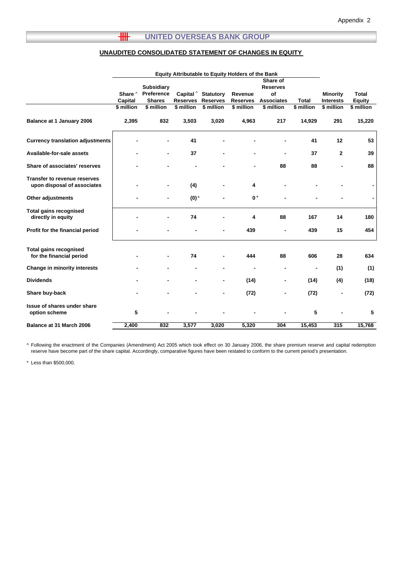#### $H$ **UNITED OVERSEAS BANK GROUP**

#### **UNAUDITED CONSOLIDATED STATEMENT OF CHANGES IN EQUITY**

|                                                                    | <b>Equity Attributable to Equity Holders of the Bank</b> |                                                  |                              |                                     |                            |                                                        |              |                                     |                               |
|--------------------------------------------------------------------|----------------------------------------------------------|--------------------------------------------------|------------------------------|-------------------------------------|----------------------------|--------------------------------------------------------|--------------|-------------------------------------|-------------------------------|
|                                                                    | Share ^<br>Capital                                       | <b>Subsidiary</b><br>Preference<br><b>Shares</b> | Capital $\wedge$<br>Reserves | <b>Statutory</b><br><b>Reserves</b> | Revenue<br><b>Reserves</b> | Share of<br><b>Reserves</b><br>of<br><b>Associates</b> | <b>Total</b> | <b>Minority</b><br><b>Interests</b> | <b>Total</b><br><b>Equity</b> |
|                                                                    | \$ million                                               | \$ million                                       | \$ million                   | \$ million                          | \$ million                 | \$ million                                             | \$ million   | \$ million                          | \$ million                    |
| Balance at 1 January 2006                                          | 2,395                                                    | 832                                              | 3,503                        | 3,020                               | 4,963                      | 217                                                    | 14,929       | 291                                 | 15,220                        |
| <b>Currency translation adjustments</b>                            |                                                          |                                                  | 41                           |                                     |                            |                                                        | 41           | 12                                  | 53                            |
| Available-for-sale assets                                          |                                                          |                                                  | 37                           |                                     |                            |                                                        | 37           | $\mathbf{2}$                        | 39                            |
| Share of associates' reserves                                      |                                                          |                                                  |                              |                                     |                            | 88                                                     | 88           |                                     | 88                            |
| <b>Transfer to revenue reserves</b><br>upon disposal of associates |                                                          | $\blacksquare$                                   | (4)                          |                                     | 4                          |                                                        |              |                                     |                               |
| <b>Other adjustments</b>                                           |                                                          |                                                  | $(0)$ <sup>*</sup>           |                                     | $0*$                       |                                                        |              |                                     |                               |
| <b>Total gains recognised</b><br>directly in equity                |                                                          |                                                  | 74                           |                                     | 4                          | 88                                                     | 167          | 14                                  | 180                           |
| Profit for the financial period                                    |                                                          |                                                  |                              |                                     | 439                        |                                                        | 439          | 15                                  | 454                           |
| <b>Total gains recognised</b><br>for the financial period          |                                                          |                                                  | 74                           |                                     | 444                        | 88                                                     | 606          | 28                                  | 634                           |
| Change in minority interests                                       |                                                          |                                                  |                              |                                     |                            | ۰                                                      | ٠            | (1)                                 | (1)                           |
| <b>Dividends</b>                                                   |                                                          |                                                  |                              |                                     | (14)                       | ۰                                                      | (14)         | (4)                                 | (18)                          |
| Share buy-back                                                     |                                                          |                                                  |                              | $\blacksquare$                      | (72)                       | ۰                                                      | (72)         | ٠                                   | (72)                          |
| Issue of shares under share<br>option scheme                       | 5                                                        |                                                  |                              |                                     |                            |                                                        | 5            |                                     | 5                             |
| Balance at 31 March 2006                                           | 2,400                                                    | 832                                              | 3,577                        | 3,020                               | 5,320                      | 304                                                    | 15,453       | 315                                 | 15,768                        |

^ Following the enactment of the Companies (Amendment) Act 2005 which took effect on 30 January 2006, the share premium reserve and capital redemption reserve have become part of the share capital. Accordingly, comparative figures have been restated to conform to the current period's presentation.

\* Less than \$500,000.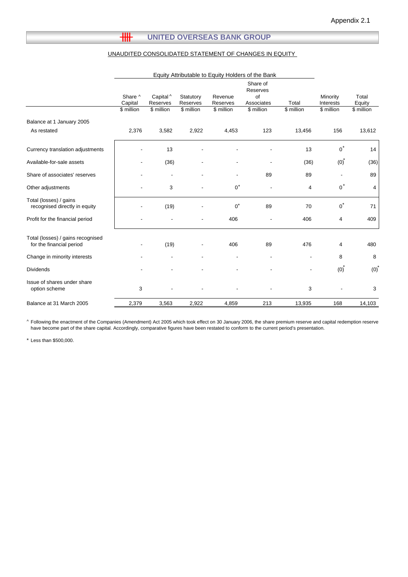#### $\overline{\text{III}}$ **UNITED OVERSEAS BANK GROUP**

#### UNAUDITED CONSOLIDATED STATEMENT OF CHANGES IN EQUITY

| Share of<br>Reserves<br>Capital ^<br>of<br>Share ^<br>Minority<br>Statutory<br>Revenue<br>Associates<br>Total<br>Capital<br>Reserves<br>Interests<br>Reserves<br>Reserves<br>\$ million<br>\$ million<br>\$ million<br>\$ million<br>\$ million<br>\$ million<br>\$ million<br>Balance at 1 January 2005<br>2,376<br>3,582<br>2,922<br>123<br>13,456<br>156<br>As restated<br>4,453 | Total<br>Equity<br>\$ million<br>13,612 |
|-------------------------------------------------------------------------------------------------------------------------------------------------------------------------------------------------------------------------------------------------------------------------------------------------------------------------------------------------------------------------------------|-----------------------------------------|
|                                                                                                                                                                                                                                                                                                                                                                                     |                                         |
|                                                                                                                                                                                                                                                                                                                                                                                     |                                         |
|                                                                                                                                                                                                                                                                                                                                                                                     |                                         |
|                                                                                                                                                                                                                                                                                                                                                                                     |                                         |
| $0^*$<br>13<br>Currency translation adjustments<br>13                                                                                                                                                                                                                                                                                                                               | 14                                      |
| (36)<br>(0)<br>Available-for-sale assets<br>(36)                                                                                                                                                                                                                                                                                                                                    | (36)                                    |
| 89<br>Share of associates' reserves<br>89<br>٠<br>$\blacksquare$                                                                                                                                                                                                                                                                                                                    | 89                                      |
| $0^*$<br>$0^*$<br>Other adjustments<br>3<br>4                                                                                                                                                                                                                                                                                                                                       | 4                                       |
| Total (losses) / gains<br>$0^*$<br>$0^*$<br>recognised directly in equity<br>89<br>(19)<br>70                                                                                                                                                                                                                                                                                       | 71                                      |
| Profit for the financial period<br>406<br>406<br>4                                                                                                                                                                                                                                                                                                                                  | 409                                     |
| Total (losses) / gains recognised<br>for the financial period<br>(19)<br>89<br>476<br>406<br>4                                                                                                                                                                                                                                                                                      | 480                                     |
| 8<br>Change in minority interests                                                                                                                                                                                                                                                                                                                                                   | 8                                       |
| (0)<br><b>Dividends</b>                                                                                                                                                                                                                                                                                                                                                             | (0)                                     |
| Issue of shares under share<br>3<br>3<br>option scheme                                                                                                                                                                                                                                                                                                                              | 3                                       |
| 2,379<br>213<br>Balance at 31 March 2005<br>3,563<br>2,922<br>4,859<br>13,935<br>168                                                                                                                                                                                                                                                                                                | 14,103                                  |

^ Following the enactment of the Companies (Amendment) Act 2005 which took effect on 30 January 2006, the share premium reserve and capital redemption reserve have become part of the share capital. Accordingly, comparative figures have been restated to conform to the current period's presentation.

\* Less than \$500,000.